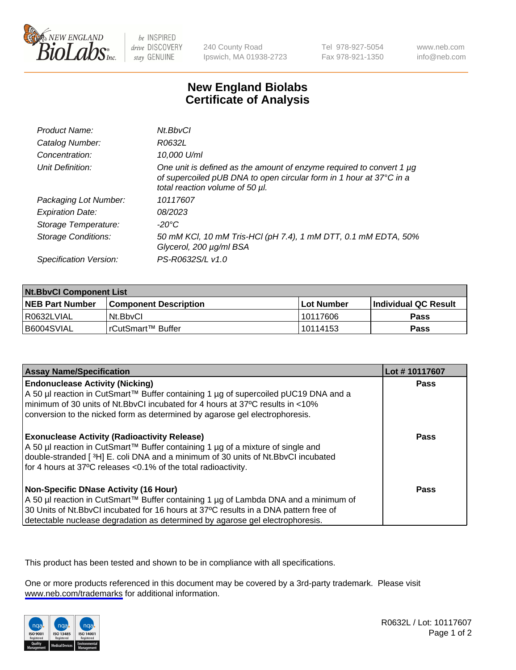

be INSPIRED drive DISCOVERY stay GENUINE

240 County Road Ipswich, MA 01938-2723 Tel 978-927-5054 Fax 978-921-1350

www.neb.com info@neb.com

## **New England Biolabs Certificate of Analysis**

| Product Name:              | Nt.BbvCl                                                                                                                                                                            |
|----------------------------|-------------------------------------------------------------------------------------------------------------------------------------------------------------------------------------|
| Catalog Number:            | R0632L                                                                                                                                                                              |
| Concentration:             | 10,000 U/ml                                                                                                                                                                         |
| Unit Definition:           | One unit is defined as the amount of enzyme required to convert 1 $\mu$ g<br>of supercoiled pUB DNA to open circular form in 1 hour at 37°C in a<br>total reaction volume of 50 µl. |
| Packaging Lot Number:      | 10117607                                                                                                                                                                            |
| <b>Expiration Date:</b>    | 08/2023                                                                                                                                                                             |
| Storage Temperature:       | -20°C                                                                                                                                                                               |
| <b>Storage Conditions:</b> | 50 mM KCl, 10 mM Tris-HCl (pH 7.4), 1 mM DTT, 0.1 mM EDTA, 50%<br>Glycerol, 200 µg/ml BSA                                                                                           |
| Specification Version:     | PS-R0632S/L v1.0                                                                                                                                                                    |

| <b>Nt.BbvCl Component List</b> |                         |              |                             |  |
|--------------------------------|-------------------------|--------------|-----------------------------|--|
| <b>NEB Part Number</b>         | l Component Description | l Lot Number | <b>Individual QC Result</b> |  |
| I R0632LVIAL                   | Nt.BbvCl                | 10117606     | Pass                        |  |
| I B6004SVIAL                   | l rCutSmart™ Buffer     | 10114153     | <b>Pass</b>                 |  |

| <b>Assay Name/Specification</b>                                                                                                                                                                                                                                                                                | Lot #10117607 |
|----------------------------------------------------------------------------------------------------------------------------------------------------------------------------------------------------------------------------------------------------------------------------------------------------------------|---------------|
| <b>Endonuclease Activity (Nicking)</b><br>  A 50 µl reaction in CutSmart™ Buffer containing 1 µg of supercoiled pUC19 DNA and a<br>minimum of 30 units of Nt.BbvCI incubated for 4 hours at 37°C results in <10%<br>conversion to the nicked form as determined by agarose gel electrophoresis.                | <b>Pass</b>   |
| <b>Exonuclease Activity (Radioactivity Release)</b><br>  A 50 µl reaction in CutSmart™ Buffer containing 1 µg of a mixture of single and<br>double-stranded [3H] E. coli DNA and a minimum of 30 units of Nt.BbvCl incubated<br>for 4 hours at 37°C releases <0.1% of the total radioactivity.                 | <b>Pass</b>   |
| <b>Non-Specific DNase Activity (16 Hour)</b><br>  A 50 µl reaction in CutSmart™ Buffer containing 1 µg of Lambda DNA and a minimum of<br>30 Units of Nt.BbvCl incubated for 16 hours at 37°C results in a DNA pattern free of<br>detectable nuclease degradation as determined by agarose gel electrophoresis. | <b>Pass</b>   |

This product has been tested and shown to be in compliance with all specifications.

One or more products referenced in this document may be covered by a 3rd-party trademark. Please visit <www.neb.com/trademarks>for additional information.